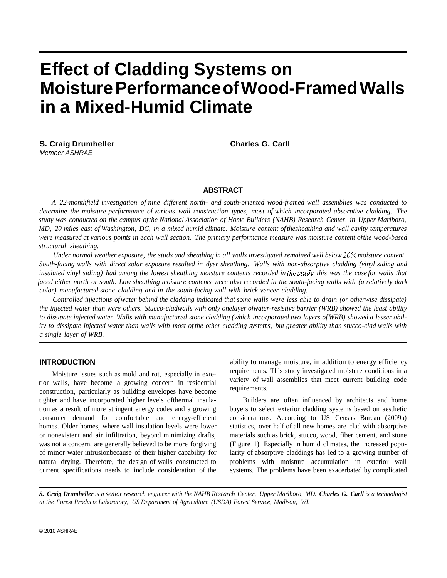# **Effect of Cladding Systems on Moisture Performance of Wood-Framed Walls in a Mixed-Humid Climate**

**S. Craig Drumheller Charles G. Carll Charles G. Carll** *Member ASHRAE* 

#### **ABSTRACT**

*A 22-monthfield investigation of nine different north- and south-oriented wood-framed wall assemblies was conducted to determine the moisture performance of various wall construction types, most of which incorporated absorptive cladding. The study was conducted on the campus of the National Association of Home Builders (NAHB) Research Center, in Upper Marlboro, MD, 20 miles east of Washington, DC, in a mixed humid climate. Moisture content of thesheathing and wall cavity temperatures were measured at various points in each wall section. The primary performance measure was moisture content ofthe wood-based structural sheathing.* 

*Under normal weather exposure, the studs and sheathing in all walls investigated remained well below 20% moisture content. South-facing walls with direct solar exposure resulted in dyer sheathing. Walls with non-absorptive cladding (vinyl siding and insulated vinyl siding) had among the lowest sheathing moisture contents recorded in the study; this was the case for walls that faced either north or south. Low sheathing moisture contents were also recorded in the south-facing walls with (a relatively dark color) manufactured stone cladding and in the south-facing wall with brick veneer cladding.* 

*Controlled injections of water behind the cladding indicated that some walls were less able to drain (or otherwise dissipate) the injected water than were others. Stucco-cladwalls with only onelayer ofwater-resistive barrier (WRB) showed the least ability to dissipate injected water Walls with manufactured stone cladding (which incorporated two layers of WRB) showed a lesser ability to dissipate injected water than walls with most of the other cladding systems, but greater ability than stucco-clad walls with a single layer of WRB.* 

#### **INTRODUCTION**

Moisture issues such as mold and rot, especially in exterior walls, have become a growing concern in residential construction, particularly as building envelopes have become tighter and have incorporated higher levels ofthermal insulation as a result of more stringent energy codes and a growing consumer demand for comfortable and energy-efficient homes. Older homes, where wall insulation levels were lower or nonexistent and air infiltration, beyond minimizing drafts, was not a concern, are generally believed to be more forgiving of minor water intrusionbecause of their higher capability for natural drying. Therefore, the design of walls constructed to current specifications needs to include consideration of the ability to manage moisture, in addition to energy efficiency requirements. This study investigated moisture conditions in a variety of wall assemblies that meet current building code requirements.

Builders are often influenced by architects and home buyers to select exterior cladding systems based on aesthetic considerations. According to US Census Bureau (2009a) statistics, over half of all new homes are clad with absorptive materials such as brick, stucco, wood, fiber cement, and stone (Figure 1). Especially in humid climates, the increased popularity of absorptive claddings has led to a growing number of problems with moisture accumulation in exterior wall systems. The problems have been exacerbated by complicated

*S. Craig Drumheller is a senior research engineer with the NAHB Research Center, Upper Marlboro, MD. Charles G. Carll is a technologist at the Forest Products Laboratory, US Department of Agriculture (USDA) Forest Service, Madison, WI.*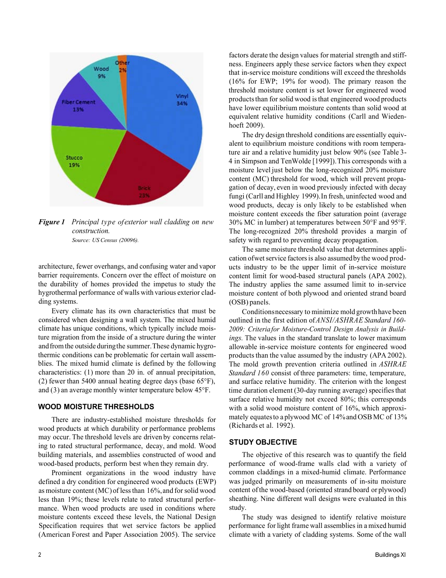

*Figure 1 Principal type of exterior wall cladding on new construction. Source: US Census (20096).* 

architecture, fewer overhangs, and confusing water and vapor barrier requirements. Concern over the effect of moisture on the durability of homes provided the impetus to study the hygrothermal performance of walls with various exterior cladding systems.

Every climate has its own characteristics that must be considered when designing a wall system. The mixed humid climate has unique conditions, which typically include moisture migration from the inside of a structure during the winter and from the outside duringthe summer.These dynamic hygrothermic conditions can be problematic for certain wall assemblies. The mixed humid climate is defined by the following characteristics: (1) more than 20 in. of annual precipitation, (2) fewer than 5400 annual heating degree days (base 65°F), and (3) an average monthly winter temperature below 45°F.

#### **WOOD MOISTURE THRESHOLDS**

There are industry-established moisture thresholds for wood products at which durability or performance problems may occur. The threshold levels are driven by concerns relating to rated structural performance, decay, and mold. Wood building materials, and assemblies constructed of wood and wood-based products, perform best when they remain dry.

Prominent organizations in the wood industry have defined a dry condition for engineered wood products (EWP) as moisture content (MC) of less than 16%, and for solid wood less than 19%; these levels relate to rated structural performance. When wood products are used in conditions where moisture contents exceed these levels, the National Design Specification requires that wet service factors be applied (American Forest and Paper Association 2005). The service factors derate the design values for material strength and stiffness. Engineers apply these service factors when they expect that in-service moisture conditions will exceed the thresholds (16% for EWP; 19% for wood). The primary reason the threshold moisture content is set lower for engineered wood products than for solid wood is that engineered wood products have lower equilibrium moisture contents than solid wood at equivalent relative humidity conditions (Carll and Wiedenhoeft 2009).

The dry design threshold conditions are essentially equivalent to equilibrium moisture conditions with room temperature air and a relative humidity just below 90% (see Table 3- 4 in Simpson and TenWolde [1999]).This corresponds with a moisture level just below the long-recognized 20% moisture content (MC) threshold for wood, which will prevent propagation of decay, even in wood previously infected with decay fungi (Carll and Highley 1999).In fresh, uninfected wood and wood products, decay is only likely to be established when moisture content exceeds the fiber saturation point (average 30% MC in lumber) at temperatures between 50°F and 95°F. The long-recognized 20% threshold provides a margin of safety with regard to preventing decay propagation.

The same moisture threshold value that determines application ofwet service factors is also assumed by the wood products industry to be the upper limit of in-service moisture content limit for wood-based structural panels (APA 2002). The industry applies the same assumed limit to in-service moisture content of both plywood and oriented strand board (OSB) panels.

Conditionsnecessary to minimize mold growth have been outlined in the first edition of *ANSI/ASHRAE Standard 160- 2009: Criteria for Moisture-Control Design Analysis in Buildings.* The values in the standard translate to lower maximum allowable in-service moisture contents for engineered wood products than the value assumed by the industry (APA 2002). The mold growth prevention criteria outlined in *ASHRAE Standard 160* consist of three parameters: time, temperature, and surface relative humidity. The criterion with the longest time duration element (30-day running average) specifies that surface relative humidity not exceed 80%; this corresponds with a solid wood moisture content of 16%, which approximately equates to a plywood MC of 14% and OSB MC of 13% (Richards et al. 1992).

## **STUDY OBJECTIVE**

The objective of this research was to quantify the field performance of wood-frame walls clad with a variety of common claddings in a mixed-humid climate. Performance was judged primarily on measurements of in-situ moisture content of the wood-based (oriented strand board or plywood) sheathing. Nine different wall designs were evaluated in this study.

The study was designed to identify relative moisture performance for light frame wall assemblies in a mixed humid climate with a variety of cladding systems. Some of the wall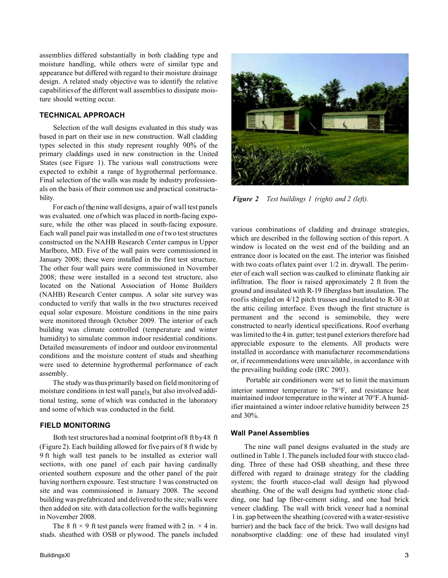assemblies differed substantially in both cladding type and moisture handling, while others were of similar type and appearance but differed with regard to their moisture drainage design. A related study objective was to identify the relative capabilities of the different wall assemblies to dissipate moisture should wetting occur.

## **TECHNICAL APPROACH**

Selection of the wall designs evaluated in this study was based in part on their use in new construction. Wall cladding types selected in this study represent roughly 90% of the primary claddings used in new construction in the United States (see Figure 1). The various wall constructions were expected to exhibit a range of hygrothermal performance. Final selection of the walls was made by industry professionals on the basis of their common use and practical constructability.

For each of the nine wall designs, a pair of wall test panels was evaluated. one of which was placed in north-facing exposure, while the other was placed in south-facing exposure. Each wall panel pair was installed in one of two test structures constructed on the NAHB Research Center campus in Upper Marlboro, MD. Five of the wall pairs were commissioned in January 2008; these were installed in the first test structure. The other four wall pairs were commissioned in November 2008; these were installed in a second test structure, also located on the National Association of Home Builders (NAHB) Research Center campus. A solar site survey was conducted to verify that walls in the two structures received equal solar exposure. Moisture conditions in the nine pairs were monitored through October 2009. The interior of each building was climate controlled (temperature and winter humidity) to simulate common indoor residential conditions. Detailed measurements of indoor and outdoor environmental conditions and the moisture content of studs and sheathing were used to determine hygrothermal performance of each assembly.

The study was thus primarily based on field monitoring of moisture conditions in test wall panels, but also involved additional testing, some of which was conducted in the laboratory and some of which was conducted in the field.

# **FIELD MONITORING**

Both test structures had a nominal footprint of8 ft by48 ft (Figure 2). Each building allowed for five pairs of 8 ft wide by 9 ft high wall test panels to be installed as exterior wall sections, with one panel of each pair having cardinally oriented southern exposure and the other panel of the pair having northern exposure. Test structure 1 was constructed on site and was commissioned in January 2008. The second building was prefabricated and delivered to the site; walls were then added on site. with data collection for the walls beginning in November 2008.

The 8 ft  $\times$  9 ft test panels were framed with 2 in.  $\times$  4 in. studs. sheathed with OSB or plywood. The panels included



*Figure 2 Test buildings 1 (right) and 2 (left).* 

various combinations of cladding and drainage strategies, which are described in the following section of this report. A window is located on the west end of the building and an entrance door is located on the east. The interior was finished with two coats of latex paint over  $1/2$  in. drywall. The perimeter of each wall section was caulked to eliminate flanking air infiltration. The floor is raised approximately 2 ft from the ground and insulated with R-19 fiberglass batt insulation. The roof is shingled on 4/12 pitch trusses and insulated to R-30 at the attic ceiling interface. Even though the first structure is permanent and the second is semimobile, they were constructed to nearly identical specifications. Roof overhang was limited to the 4 in. gutter; test panel exteriors therefore had appreciable exposure to the elements. All products were installed in accordance with manufacturer recommendations or, if recommendations were unavailable, in accordance with the prevailing building code (IRC 2003).

Portable air conditioners were set to limit the maximum interior summer temperature to 78°F, and resistance heat maintained indoor temperature in the winter at 70°F. A humidifier maintained a winter indoor relative humidity between 25 and 30%.

## **Wall Panel Assemblies**

The nine wall panel designs evaluated in the study are outlined in Table 1. The panels included four with stucco cladding. Three of these had OSB sheathing, and these three differed with regard to drainage strategy for the cladding system; the fourth stucco-clad wall design had plywood sheathing. One of the wall designs had synthetic stone cladding, one had lap fiber-cement siding, and one had brick veneer cladding. The wall with brick veneer had a nominal 1 in. gap between the sheathing (covered with a water-resistive barrier) and the back face of the brick. Two wall designs had nonabsorptive cladding: one of these had insulated vinyl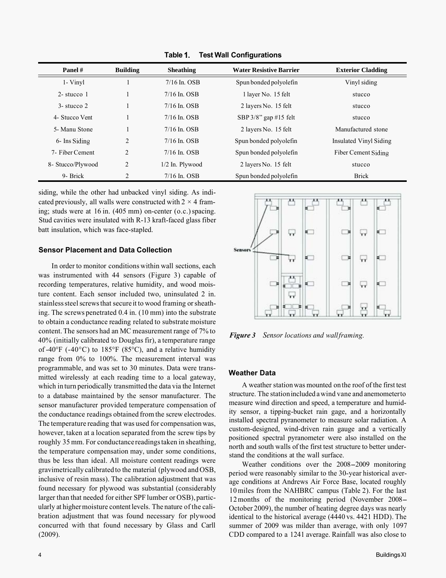| Panel #           | <b>Building</b> | <b>Sheathing</b>  | <b>Water Resistive Barrier</b> | <b>Exterior Cladding</b> |
|-------------------|-----------------|-------------------|--------------------------------|--------------------------|
| 1- Vinyl          |                 | $7/16$ In. OSB    | Spun bonded polyolefin         | Vinyl siding             |
| $2$ -stucco 1     |                 | $7/16$ In. OSB    | 1 layer No. 15 felt            | stucco                   |
| $3 -$ stucco 2    |                 | $7/16$ In. OSB    | 2 layers No. 15 felt           | stucco                   |
| 4- Stucco Vent    |                 | $7/16$ In. OSB    | SBP 3/8" gap #15 felt          | stucco                   |
| 5- Manu Stone     |                 | $7/16$ In. OSB    | 2 layers No. 15 felt           | Manufactured stone       |
| 6- Ins Siding     | 2               | $7/16$ In. OSB    | Spun bonded polyolefin         | Insulated Vinyl Siding   |
| 7- Fiber Cement   | 2               | $7/16$ In. OSB    | Spun bonded polyolefin         | Fiber Cement Siding      |
| 8- Stucco/Plywood | $\overline{2}$  | $1/2$ In. Plywood | 2 layers No. 15 felt           | stucco                   |
| 9- Brick          | 2               | $7/16$ In. OSB    | Spun bonded polyolefin         | <b>Brick</b>             |

**Table Test Wall Configurations** 

siding, while the other had unbacked vinyl siding. As indicated previously, all walls were constructed with  $2 \times 4$  framing; studs were at 16 in. (405 mm) on-center (o.c.) spacing. Stud cavities were insulated with R-13 kraft-faced glass fiber batt insulation, which was face-stapled.

#### **Sensor Placement and Data Collection**

In order to monitor conditions within wall sections, each was instrumented with 44 sensors (Figure 3) capable of recording temperatures, relative humidity, and wood moisture content. Each sensor included two, uninsulated 2 in. stainless steel screws that secure it to wood framing or sheathing. The screws penetrated 0.4 in. (10 mm) into the substrate to obtain a conductance reading related to substrate moisture content. The sensors had an MC measurement range of 7% to 40% (initially calibrated to Douglas fir), a temperature range of -40 $\degree$ F (-40 $\degree$ C) to 185 $\degree$ F (85 $\degree$ C), and a relative humidity range from 0% to 100%. The measurement interval was programmable, and was set to 30 minutes. Data were transmitted wirelessly at each reading time to a local gateway, which in turn periodically transmitted the data via the Internet to a database maintained by the sensor manufacturer. The sensor manufacturer provided temperature compensation of the conductance readings obtained from the screw electrodes. The temperature reading that was used for compensation was, however, taken at a location separated from the screw tips by roughly 35 mm. For conductance readings taken in sheathing, the temperature compensation may, under some conditions, thus be less than ideal. All moisture content readings were gravimetrically calibrated to the material (plywood and OSB, inclusive of resin mass). The calibration adjustment that was found necessary for plywood was substantial (considerably larger than that needed for either SPF lumber or OSB), particularly at higher moisture content levels. The nature of the calibration adjustment that was found necessary for plywood concurred with that found necessary by Glass and Carll (2009).



*Figure 3 Sensor locations and wall framing.* 

#### **Weather Data**

A weather station was mounted on the roof of the first test structure. The station included a wind vane and anemometerto measure wind direction and speed, a temperature and humidity sensor, a tipping-bucket rain gage, and a horizontally installed spectral pyranometer to measure solar radiation. A custom-designed, wind-driven rain gauge and a vertically positioned spectral pyranometer were also installed on the north and south walls of the first test structure to better understand the conditions at the wall surface.

Weather conditions over the 2008-2009 monitoring period were reasonably similar to the 30-year historical average conditions at Andrews Air Force Base, located roughly 10 miles from the NAHBRC campus (Table 2). For the last 12 months of the monitoring period (November 2008- October 2009), the number of heating degree days was nearly identical to the historical average (4440 vs. 4421 HDD). The summer of 2009 was milder than average, with only 1097 CDD compared to a 1241 average. Rainfall was also close to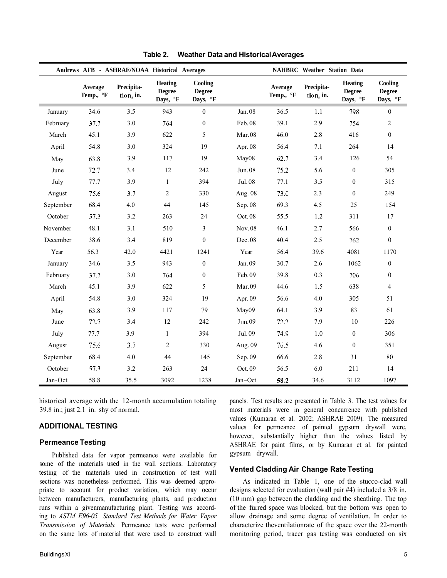| Andrews AFB - ASHRAE/NOAA Historical Averages |                      |                         | <b>NAHBRC</b> Weather Station Data          |                                      |           |                      |                         |                                             |                                      |
|-----------------------------------------------|----------------------|-------------------------|---------------------------------------------|--------------------------------------|-----------|----------------------|-------------------------|---------------------------------------------|--------------------------------------|
|                                               | Average<br>Temp., °F | Precipita-<br>tion, in. | <b>Heating</b><br><b>Degree</b><br>Days, °F | Cooling<br><b>Degree</b><br>Days, °F |           | Average<br>Temp., °F | Precipita-<br>tion, in. | <b>Heating</b><br><b>Degree</b><br>Days, °F | Cooling<br><b>Degree</b><br>Days, °F |
| January                                       | 34.6                 | 3.5                     | 943                                         | $\boldsymbol{0}$                     | Jan. 08   | 36.5                 | 1.1                     | 798                                         | $\boldsymbol{0}$                     |
| February                                      | 37.7                 | 3.0                     | 764                                         | $\boldsymbol{0}$                     | Feb. 08   | 39.1                 | 2.9                     | 754                                         | $\overline{c}$                       |
| March                                         | 45.1                 | 3.9                     | 622                                         | 5                                    | Mar.08    | 46.0                 | 2.8                     | 416                                         | $\boldsymbol{0}$                     |
| April                                         | 54.8                 | 3.0                     | 324                                         | 19                                   | Apr. $08$ | 56.4                 | 7.1                     | 264                                         | 14                                   |
| May                                           | 63.8                 | 3.9                     | 117                                         | 19                                   | May08     | 62.7                 | 3.4                     | 126                                         | 54                                   |
| June                                          | 72.7                 | 3.4                     | 12                                          | 242                                  | Jun. 08   | 75.2                 | 5.6                     | $\boldsymbol{0}$                            | 305                                  |
| July                                          | 77.7                 | 3.9                     | $\mathbf{1}$                                | 394                                  | Jul. 08   | 77.1                 | 3.5                     | $\boldsymbol{0}$                            | 315                                  |
| August                                        | 75.6                 | 3.7                     | $\mathbf{2}$                                | 330                                  | Aug. 08   | 73.0                 | 2.3                     | $\boldsymbol{0}$                            | 249                                  |
| September                                     | 68.4                 | 4.0                     | $44\,$                                      | 145                                  | Sep. 08   | 69.3                 | 4.5                     | 25                                          | 154                                  |
| October                                       | 57.3                 | 3.2                     | 263                                         | 24                                   | Oct. 08   | 55.5                 | 1.2                     | 311                                         | 17                                   |
| November                                      | 48.1                 | 3.1                     | 510                                         | $\mathfrak{Z}$                       | Nov. 08   | 46.1                 | 2.7                     | 566                                         | $\boldsymbol{0}$                     |
| December                                      | 38.6                 | 3.4                     | 819                                         | $\mathbf{0}$                         | Dec. 08   | 40.4                 | 2.5                     | 762                                         | $\mathbf{0}$                         |
| Year                                          | 56.3                 | 42.0                    | 4421                                        | 1241                                 | Year      | 56.4                 | 39.6                    | 4081                                        | 1170                                 |
| January                                       | 34.6                 | 3.5                     | 943                                         | $\boldsymbol{0}$                     | Jan. 09   | 30.7                 | 2.6                     | 1062                                        | $\boldsymbol{0}$                     |
| February                                      | 37.7                 | 3.0                     | 764                                         | $\mathbf{0}$                         | Feb.09    | 39.8                 | 0.3                     | 706                                         | $\boldsymbol{0}$                     |
| March                                         | 45.1                 | 3.9                     | 622                                         | 5                                    | Mar.09    | 44.6                 | 1.5                     | 638                                         | $\overline{4}$                       |
| April                                         | 54.8                 | 3.0                     | 324                                         | 19                                   | Apr. 09   | 56.6                 | 4.0                     | 305                                         | 51                                   |
| May                                           | 63.8                 | 3.9                     | 117                                         | 79                                   | May09     | 64.1                 | 3.9                     | 83                                          | 61                                   |
| June                                          | 72.7                 | 3.4                     | 12                                          | 242                                  | Jun. 09   | 72.2                 | 7.9                     | 10                                          | 226                                  |
| July                                          | 77.7                 | 3.9                     | $\mathbf{1}$                                | 394                                  | Jul. 09   | 74.9                 | 1.0                     | $\boldsymbol{0}$                            | 306                                  |
| August                                        | 75.6                 | 3.7                     | 2                                           | 330                                  | Aug. 09   | 76.5                 | 4.6                     | $\boldsymbol{0}$                            | 351                                  |
| September                                     | 68.4                 | 4.0                     | 44                                          | 145                                  | Sep. 09   | 66.6                 | 2.8                     | 31                                          | 80                                   |
| October                                       | 57.3                 | 3.2                     | 263                                         | 24                                   | Oct. 09   | 56.5                 | 6.0                     | 211                                         | 14                                   |
| Jan-Oct                                       | 58.8                 | 35.5                    | 3092                                        | 1238                                 | Jan-Oct   | 58.2                 | 34.6                    | 3112                                        | 1097                                 |

**Table 2. Weather Data and Historical Averages** 

historical average with the 12-month accumulation totaling 39.8 in.; just 2.1 in. shy of normal.

## **ADDITIONAL TESTING**

## **Permeance Testing**

Published data for vapor permeance were available for some of the materials used in the wall sections. Laboratory testing of the materials used in construction of test wall sections was nonetheless performed. This was deemed appropriate to account for product variation, which may occur between manufacturers, manufacturing plants, and production runs within a givenmanufacturing plant. Testing was according to *ASTM E96-05, Standard Test Methods for Water Vapor Transmission of Materials.* Permeance tests were performed on the same lots of material that were used to construct wall panels. Test results are presented in Table 3. The test values for most materials were in general concurrence with published values (Kumaran et al. 2002; ASHRAE 2009). The measured values for permeance of painted gypsum drywall were, however, substantially higher than the values listed by ASHRAE for paint films, or by Kumaran et al. for painted gypsum drywall.

# **Vented Cladding Air Change Rate Testing**

As indicated in Table 1, one of the stucco-clad wall designs selected for evaluation (wall pair #4) included a 3/8 in. (10 mm) gap between the cladding and the sheathing. The top of the furred space was blocked, but the bottom was open to allow drainage and some degree of ventilation. In order to characterize theventilationrate of the space over the 22-month monitoring period, tracer gas testing was conducted on six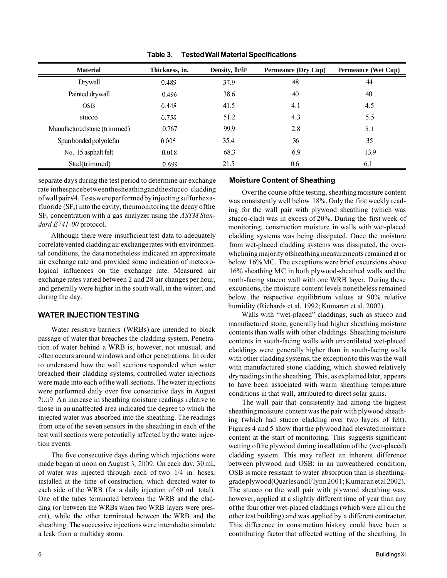| <b>Material</b>              | Thickness, in. | Density, lb/ft <sup>3</sup> | <b>Permeance (Dry Cup)</b> | Permeance (Wet Cup) |
|------------------------------|----------------|-----------------------------|----------------------------|---------------------|
| Drywall                      | 0.489          | 37.9                        | 48                         | 44                  |
| Painted drywall              | 0.496          | 38.6                        | 40                         | 40                  |
| <b>OSB</b>                   | 0.448          | 41.5                        | 4.1                        | 4.5                 |
| stucco                       | 0.758          | 51.2                        | 4.3                        | 5.5                 |
| Manufactured stone (trimmed) | 0.767          | 99.9                        | 2.8                        | 5.1                 |
| Spun bonded polyolefin       | 0.005          | 35.4                        | 36                         | 35                  |
| No. 15 asphalt felt          | 0.018          | 68.3                        | 6.9                        | 13.9                |
| Stud(trimmed)                | 0.699          | 21.5                        | 0.6                        | 6.1                 |

**Table 3. TestedWall Material Specifications** 

separate days during the test period to determine air exchange rate inthespacebetweenthesheathingandthestucco cladding of wall pair #4. Testswere performed by injecting sulfur hexafluoride  $(SF_6)$  into the cavity, thenmonitoring the decay of the SF6 concentration with a gas analyzer using the *ASTM Standard E741-00* protocol.

Although there were insufficient test data to adequately correlate vented cladding air exchange rates with environmental conditions, the data nonetheless indicated an approximate air exchange rate and provided some indication of meteorological influences on the exchange rate. Measured air exchange rates varied between 2 and 28 air changes per hour, and generally were higher in the south wall, in the winter, and during the day.

#### **WATER INJECTION TESTING**

Water resistive barriers (WRBs) are intended to block passage of water that breaches the cladding system. Penetration of water behind a WRB is, however, not unusual, and often occurs around windows and other penetrations. In order to understand how the wall sections responded when water breached their cladding systems, controlled water injections were made into each ofthe wall sections. The water injections were performed daily over five consecutive days in August 2009. An increase in sheathing moisture readings relative to those in an unaffected area indicated the degree to which the injected water was absorbed into the sheathing. The readings from one of the seven sensors in the sheathing in each of the test wall sections were potentially affected by the water injection events.

The five consecutive days during which injections were made began at noon on August 3, 2009. On each day, 30 mL of water was injected through each of two 1/4 in. hoses, installed at the time of construction, which directed water to each side of the WRB (for a daily injection of 60 mL total). One of the tubes terminated between the WRB and the cladding (or between the WRBs when two WRB layers were present), while the other terminated between the WRB and the sheathing. The successive injections were intendedto simulate a leak from a multiday storm.

# **Moisture Content of Sheathing**

Over the course ofthe testing, sheathing moisture content was consistently well below 18%. Only the first weekly reading for the wall pair with plywood sheathing (which was stucco-clad) was in excess of 20%. During the first week of monitoring, construction moisture in walls with wet-placed cladding systems was being dissipated. Once the moisture from wet-placed cladding systems was dissipated, the overwhelming majority ofsheathing measurements remained at or below 16% MC. The exceptions were brief excursions above 16% sheathing MC in both plywood-sheathed walls and the north-facing stucco wall with one WRB layer. During these excursions, the moisture content levels nonetheless remained below the respective equilibrium values at 90% relative humidity (Richards et al. 1992; Kumaran et al. 2002).

Walls with "wet-placed" claddings, such as stucco and manufactured stone, generally had higher sheathing moisture contents than walls with other claddings. Sheathing moisture contents in south-facing walls with unventilated wet-placed claddings were generally higher than in south-facing walls with other cladding systems; the exception to this was the wall with manufactured stone cladding, which showed relatively dry readings in the sheathing. This, as explained later, appears to have been associated with warm sheathing temperature conditions in that wall, attributed to direct solar gains.

The wall pair that consistently had among the highest sheathing moisture content was the pair with plywood sheathing (which had stucco cladding over two layers of felt). Figures 4 and 5 show that the plywood had elevated moisture content at the start of monitoring. This suggests significant wetting ofthe plywood during installation ofthe (wet-placed) cladding system. This may reflect an inherent difference between plywood and OSB: in an unweathered condition, OSB is more resistant to water absorption than is sheathinggrade plywood(Quarles and Flynn 2001; Kumaran etal 2002). The stucco on the wall pair with plywood sheathing was, however, applied at a slightly different time of year than any of the four other wet-placed claddings (which were all on the other test building) and was applied by a different contractor. This difference in construction history could have been a contributing factor that affected wetting of the sheathing. In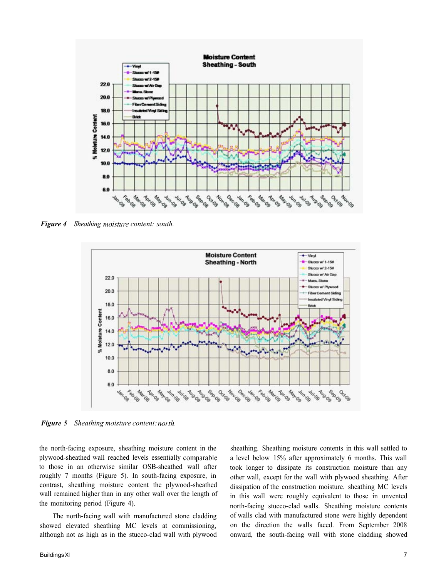

*Figure 4 Sheathing moisture content: south.* 



*Figure 5 Sheathing moisture content:* 

the north-facing exposure, sheathing moisture content in the plywood-sheathed wall reached levels essentially to those in an otherwise similar OSB-sheathed wall after roughly 7 months (Figure 5). In south-facing exposure, in contrast, sheathing moisture content the plywood-sheathed wall remained higher than in any other wall over the length of the monitoring period (Figure 4).

The north-facing wall with manufactured stone cladding showed elevated sheathing MC levels at commissioning, although not as high as in the stucco-clad wall with plywood sheathing. Sheathing moisture contents in this wall settled to a level below 15% after approximately 6 months. This wall took longer to dissipate its construction moisture than any other wall, except for the wall with plywood sheathing. After dissipation of the construction moisture. sheathing MC levels in this wall were roughly equivalent to those in unvented north-facing stucco-clad walls. Sheathing moisture contents of walls clad with manufactured stone were highly dependent on the direction the walls faced. From September 2008 onward, the south-facing wall with stone cladding showed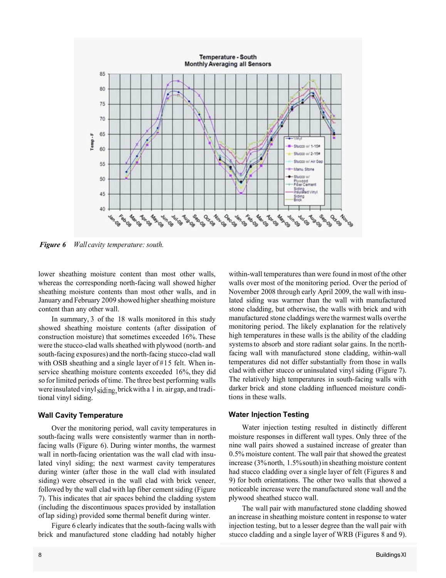

*Figure 6 Wall cavity temperature: south.* 

lower sheathing moisture content than most other walls, whereas the corresponding north-facing wall showed higher sheathing moisture contents than most other walls, and in January and February 2009 showed higher sheathing moisture content than any other wall.

In summary, 3 of the 18 walls monitored in this study showed sheathing moisture contents (after dissipation of construction moisture) that sometimes exceeded 16%. These were the stucco-clad walls sheathed with plywood (north- and south-facing exposures) and the north-facing stucco-clad wall with OSB sheathing and a single layer of #15 felt. When inservice sheathing moisture contents exceeded 16%, they did so for limited periods of time. The three best performing walls were insulated vinyl siding, brick with a 1 in. air gap, and traditional vinyl siding.

#### **Wall Cavity Temperature**

Over the monitoring period, wall cavity temperatures in south-facing walls were consistently warmer than in northfacing walls (Figure 6). During winter months, the warmest wall in north-facing orientation was the wall clad with insulated vinyl siding; the next warmest cavity temperatures during winter (after those in the wall clad with insulated siding) were observed in the wall clad with brick veneer, followed by the wall clad with lap fiber cement siding (Figure 7). This indicates that air spaces behind the cladding system (including the discontinuous spaces provided by installation of lap siding) provided some thermal benefit during winter.

Figure 6 clearly indicates that the south-facing walls with brick and manufactured stone cladding had notably higher within-wall temperatures than were found in most of the other walls over most of the monitoring period. Over the period of November 2008 through early April 2009, the wall with insulated siding was warmer than the wall with manufactured stone cladding, but otherwise, the walls with brick and with manufactured stone claddings were the warmest walls over the monitoring period. The likely explanation for the relatively high temperatures in these walls is the ability of the cladding systems to absorb and store radiant solar gains. In the northfacing wall with manufactured stone cladding, within-wall temperatures did not differ substantially from those in walls clad with either stucco or uninsulated vinyl siding (Figure 7). The relatively high temperatures in south-facing walls with darker brick and stone cladding influenced moisture conditions in these walls.

#### **Water Injection Testing**

Water injection testing resulted in distinctly different moisture responses in different wall types. Only three of the nine wall pairs showed a sustained increase of greater than 0.5% moisture content. The wall pair that showed the greatest increase (3% north, 1.5%south) in sheathing moisture content had stucco cladding over a single layer of felt (Figures 8 and 9) for both orientations. The other two walls that showed a noticeable increase were the manufactured stone wall and the plywood sheathed stucco wall.

The wall pair with manufactured stone cladding showed an increase in sheathing moisture content in response to water injection testing, but to a lesser degree than the wall pair with stucco cladding and a single layer of WRB (Figures 8 and 9).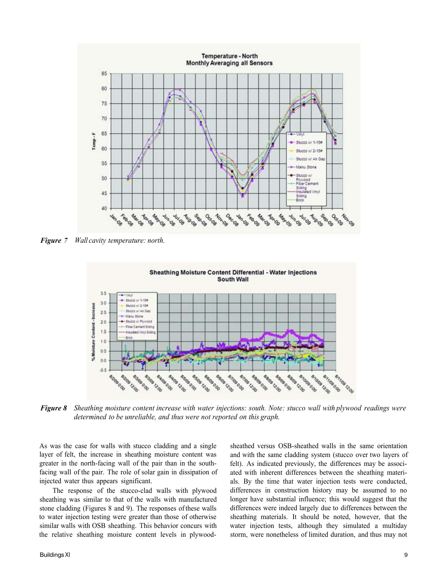

*Figure 7 Wall cavity temperature: north.* 



*Figure 8 Sheathing moisture content increase with water injections: south. Note: stucco wall with plywood readings were determined to be unreliable, and thus were not reported on this graph.* 

As was the case for walls with stucco cladding and a single layer of felt, the increase in sheathing moisture content was greater in the north-facing wall of the pair than in the southfacing wall of the pair. The role of solar gain in dissipation of injected water thus appears significant.

The response of the stucco-clad walls with plywood sheathing was similar to that of the walls with manufactured stone cladding (Figures 8 and 9). The responses of these walls to water injection testing were greater than those of otherwise similar walls with OSB sheathing. This behavior concurs with the relative sheathing moisture content levels in plywoodsheathed versus OSB-sheathed walls in the same orientation and with the same cladding system (stucco over two layers of felt). As indicated previously, the differences may be associated with inherent differences between the sheathing materials. By the time that water injection tests were conducted, differences in construction history may be assumed to no longer have substantial influence; this would suggest that the differences were indeed largely due to differences between the sheathing materials. It should be noted, however, that the water injection tests, although they simulated a multiday storm, were nonetheless of limited duration, and thus may not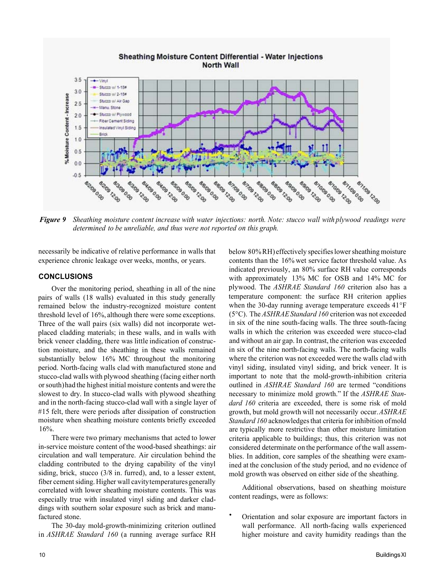

**Sheathing Moisture Content Differential - Water Injections North Wall** 

*Figure 9 Sheathing moisture content increase with water injections: north. Note: stucco wall with plywood readings were determined to be unreliable, and thus were not reported on this graph.* 

necessarily be indicative of relative performance in walls that experience chronic leakage over weeks, months, or years.

#### **CONCLUSIONS**

Over the monitoring period, sheathing in all of the nine pairs of walls (18 walls) evaluated in this study generally remained below the industry-recognized moisture content threshold level of 16%, although there were some exceptions. Three of the wall pairs (six walls) did not incorporate wetplaced cladding materials; in these walls, and in walls with brick veneer cladding, there was little indication of construction moisture, and the sheathing in these walls remained substantially below 16% MC throughout the monitoring period. North-facing walls clad with manufactured stone and stucco-clad walls with plywood sheathing (facing either north or south)had the highest initial moisture contents and were the slowest to dry. In stucco-clad walls with plywood sheathing and in the north-facing stucco-clad wall with a single layer of #15 felt, there were periods after dissipation of construction moisture when sheathing moisture contents briefly exceeded 16%.

There were two primary mechanisms that acted to lower in-service moisture content of the wood-based sheathings: air circulation and wall temperature. Air circulation behind the cladding contributed to the drying capability of the vinyl siding, brick, stucco (3/8 in. furred), and, to a lesser extent, fiber cement siding. Higher wall cavitytemperatures generally correlated with lower sheathing moisture contents. This was especially true with insulated vinyl siding and darker claddings with southern solar exposure such as brick and manufactured stone.

The 30-day mold-growth-minimizing criterion outlined in *ASHRAE Standard 160* (a running average surface RH below 80% RH) effectively specifies lower sheathing moisture contents than the 16% wet service factor threshold value. As indicated previously, an 80% surface RH value corresponds with approximately 13% MC for OSB and 14% MC for plywood. The *ASHRAE Standard 160* criterion also has a temperature component: the surface RH criterion applies when the 30-day running average temperature exceeds 41°F (5°C). The *ASHRAE Standard 160* criterion was not exceeded in six of the nine south-facing walls. The three south-facing walls in which the criterion was exceeded were stucco-clad and without an air gap. In contrast, the criterion was exceeded in six of the nine north-facing walls. The north-facing walls where the criterion was not exceeded were the walls clad with vinyl siding, insulated vinyl siding, and brick veneer. It is important to note that the mold-growth-inhibition criteria outlined in *ASHRAE Standard 160* are termed "conditions necessary to minimize mold growth." If the *ASHRAE Standard 160* criteria are exceeded, there is some risk of mold growth, but mold growth will not necessarily occur. *ASHRAE Standard 160* acknowledges that criteria for inhibition of mold are typically more restrictive than other moisture limitation criteria applicable to buildings; thus, this criterion was not considered determinate on the performance of the wall assemblies. In addition, core samples of the sheathing were examined at the conclusion of the study period, and no evidence of mold growth was observed on either side of the sheathing.

Additional observations, based on sheathing moisture content readings, were as follows:

• Orientation and solar exposure are important factors in wall performance. All north-facing walls experienced higher moisture and cavity humidity readings than the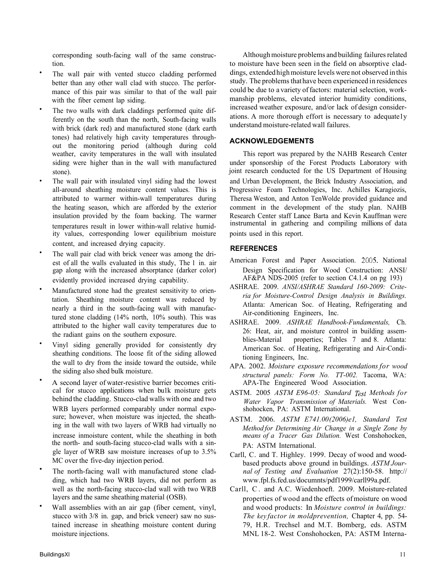corresponding south-facing wall of the same construction.

- The wall pair with vented stucco cladding performed better than any other wall clad with stucco. The performance of this pair was similar to that of the wall pair with the fiber cement lap siding.
- The two walls with dark claddings performed quite differently on the south than the north, South-facing walls with brick (dark red) and manufactured stone (dark earth tones) had relatively high cavity temperatures throughout the monitoring period (although during cold weather, cavity temperatures in the wall with insulated siding were higher than in the wall with manufactured stone).
- The wall pair with insulated vinyl siding had the lowest all-around sheathing moisture content values. This is attributed to warmer within-wall temperatures during the heating season, which are afforded by the exterior insulation provided by the foam backing. The warmer temperatures result in lower within-wall relative humidity values, corresponding lower equilibrium moisture content, and increased drying capacity.
- The wall pair clad with brick veneer was among the driest of all the walls evaluated in this study, The 1 in. air gap along with the increased absorptance (darker color) evidently provided increased drying capability.
- Manufactured stone had the greatest sensitivity to orientation. Sheathing moisture content was reduced by nearly a third in the south-facing wall with manufactured stone cladding (14% north, 10% south). This was attributed to the higher wall cavity temperatures due to the radiant gains on the southern exposure.
- Vinyl siding generally provided for consistently dry sheathing conditions. The loose fit of the siding allowed the wall to dry from the inside toward the outside, while the siding also shed bulk moisture.
- A second layer of water-resistive barrier becomes critical for stucco applications when bu1k moisture gets behind the cladding. Stucco-clad walls with one and two WRB layers performed comparably under normal exposure; however, when moisture was injected, the sheathing in the wall with two layers of WRB had virtually no increase inmoisture content, while the sheathing in both the north- and south-facing stucco-clad walls with a single layer of WRB saw moisture increases of up to 3.5% MC over the five-day injection period.
- The north-facing wall with manufactured stone cladding, which had two WRB layers, did not perform as well as the north-facing stucco-clad wall with two WRB layers and the same sheathing material (OSB).
- Wall assemblies with an air gap (fiber cement, vinyl, stucco with 3/8 in. gap, and brick veneer) saw no sustained increase in sheathing moisture content during moisture injections.

Although moisture problems and building failures related to moisture have been seen in the field on absorptive claddings, extended high moisture levels were not observed in this study. The problems that have been experienced in residences could be due to a variety of factors: material selection, workmanship problems, elevated interior humidity conditions, increased weather exposure, and/or lack of design considerations. A more thorough effort is necessary to adequate1y understand moisture-related wall failures.

## **ACKNOWLEDGEMENTS**

This report was prepared by the NAHB Research Center under sponsorship of the Forest Products Laboratory with joint research conducted for the US Department of Housing and Urban Development, the Brick Industry Association, and Progressive Foam Technologies, Inc. Achilles Karagiozis, Theresa Weston, and Anton TenWolde provided guidance and comment in the development of the study plan. NAHB Research Center staff Lance Barta and Kevin Kauffman were instrumental in gathering and compiling millions of data points used in this report.

## **REFERENCES**

- American Forest and Paper Association. 2005. National Design Specification for Wood Construction: ANSI/ AF&PA NDS-2005 (refer to section C4.1.4 on pg 193)
- ASHRAE. 2009. *ANSI/ASHRAE Standard 160-2009: Criteria for Moisture-Control Design Analysis in Buildings.*  Atlanta: American Soc. of Heating, Refrigerating and Air-conditioning Engineers, Inc.
- ASHRAE. 2009. *ASHRAE Handbook-Fundamentals,* Ch. 26: Heat, air, and moisture control in building assemblies-Material properties; Tables 7 and 8. Atlanta: American Soc. of Heating, Refrigerating and Air-Conditioning Engineers, Inc.
- APA. 2002. *Moisture exposure recommendations for wood structural panels: Form No. TT-002.* Tacoma, WA: APA-The Engineered Wood Association.
- ASTM. 2005 ASTM E96-05: Standard Test Methods for *Water Vapor Transmission of Materials.* West Conshohocken, PA: ASTM International.
- ASTM. 2006. *ASTM E741.00(2006)e1, Standard Test Method for Determining Air Change in a Single Zone by means of a Tracer Gas Dilution.* West Conshohocken, PA: ASTM International.
- Carll, C. and T. Highley. 1999. Decay of wood and woodbased products above ground in buildings. *ASTM Journal of Testing and Evaluation* 27(2):150-58. http:// www.fpl.fs.fed.us/documnts/pdf1999/carll99a.pdf.
- Carll, C. and A.C. Wiedenhoeft. 2009. Moisture-related properties of wood and the effects of moisture on wood and wood products: In *Moisture control in buildings: The key factor in moldprevention,* Chapter 4, pp. 54- 79, H.R. Trechsel and M.T. Bomberg, eds. ASTM MNL 18-2. West Conshohocken, PA: ASTM Interna-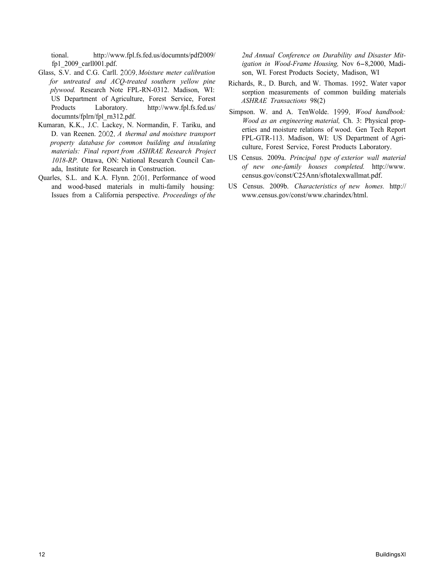tional. [http://www.fpl.fs.fed.us/documnts/pdf2009/](http://www.fpl.fs.fed.us/documnts/pdf2OO9) fp1\_2009\_carll001.pdf.

- Glass, S.V. and C.G. Carll. *Moisture meter calibration for untreated and ACQ-treated southern yellow pine plywood.* Research Note FPL-RN-0312. Madison, WI: US Department of Agriculture, Forest Service, Forest Products Laboratory. [http://www.fpl.fs.fed.us/](http://www.fpl.fs.fed.us)  documnts/fplrn/fpl\_rn312.pdf.
- Kumaran, K.K., J.C. Lackey, N. Normandin, F. Tariku, and D. van Reenen. 2002. A thermal and moisture transport *property database for common building and insulating materials: Final report from ASHRAE Research Project 1018-RP.* Ottawa, ON: National Research Council Canada, Institute for Research in Construction.
- Quarles, S.L. and K.A. Flynn. 2001. Performance of wood and wood-based materials in multi-family housing: Issues from a California perspective. *Proceedings of the*

*2nd Annual Conference on Durability and Disaster Mitigation in Wood-Frame Housing,* Nov 6-8,2000, Madison, WI. Forest Products Society, Madison, WI

- Richards, R., D. Burch, and W. Thomas. 1992. Water vapor sorption measurements of common building materials *ASHRAE Transactions* 98(2)
- Simpson. W. and A. TenWolde. 1999. Wood handbook: *Wood as an engineering material,* Ch. 3: Physical properties and moisture relations of wood. Gen Tech Report FPL-GTR-113. Madison, WI: US Department of Agriculture, Forest Service, Forest Products Laboratory.
- US Census. 2009a. *Principal type of exterior wall material of new one-family houses completed.* [http://www.](http://www) census.gov/const/C25Ann/sftotalexwallmat.pdf.
- US Census. 2009b. *Characteristics of new homes.* http:// www.census.gov/const/www.charindex/html.